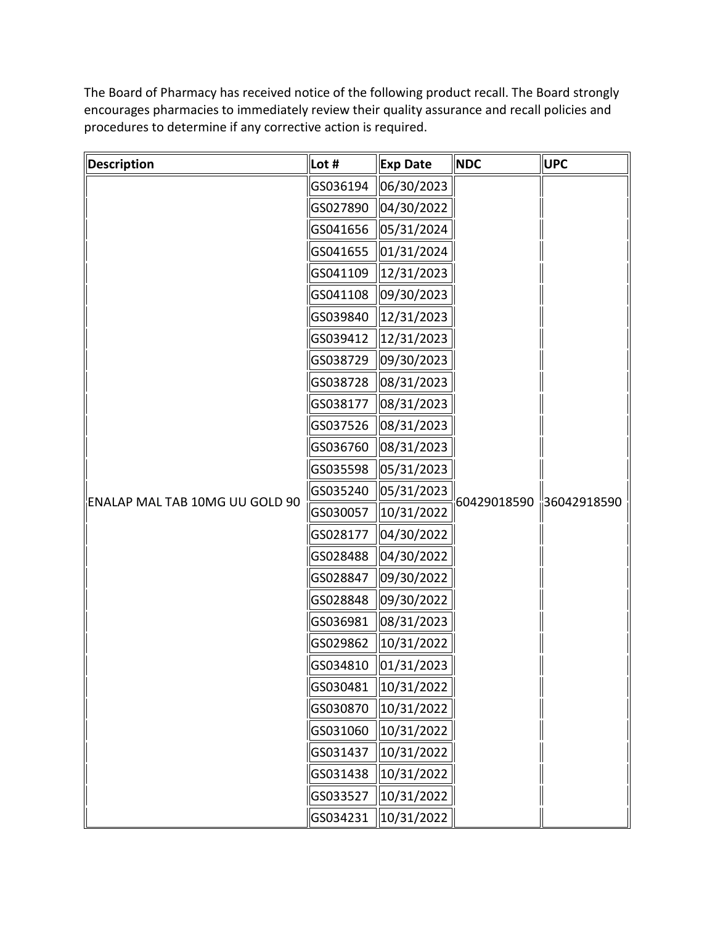The Board of Pharmacy has received notice of the following product recall. The Board strongly encourages pharmacies to immediately review their quality assurance and recall policies and procedures to determine if any corrective action is required.

| Description                    | Lot #    | <b>Exp Date</b>          | <b>NDC</b>              | <b>UPC</b> |
|--------------------------------|----------|--------------------------|-------------------------|------------|
|                                | GS036194 | 06/30/2023               |                         |            |
|                                | GS027890 | $\vert 04/30/2022 \vert$ |                         |            |
|                                | GS041656 | 05/31/2024               |                         |            |
|                                | GS041655 | 01/31/2024               |                         |            |
|                                | GS041109 | 12/31/2023               |                         |            |
|                                | GS041108 | 09/30/2023               |                         |            |
|                                | GS039840 | 12/31/2023               |                         |            |
| ENALAP MAL TAB 10MG UU GOLD 90 | GS039412 | 12/31/2023               |                         |            |
|                                | GS038729 | 09/30/2023               |                         |            |
|                                | GS038728 | 08/31/2023               |                         |            |
|                                | GS038177 | 08/31/2023               |                         |            |
|                                | GS037526 | 08/31/2023               | 60429018590 36042918590 |            |
|                                | GS036760 | 08/31/2023               |                         |            |
|                                | GS035598 | 05/31/2023               |                         |            |
|                                | GS035240 | 05/31/2023               |                         |            |
|                                | GS030057 | 10/31/2022               |                         |            |
|                                | GS028177 | 04/30/2022               |                         |            |
|                                | GS028488 | $\vert 04/30/2022 \vert$ |                         |            |
|                                | GS028847 | 09/30/2022               |                         |            |
|                                | GS028848 | 09/30/2022               |                         |            |
|                                | GS036981 | 08/31/2023               |                         |            |
|                                | GS029862 | 10/31/2022               |                         |            |
|                                | GS034810 | $\vert 01/31/2023 \vert$ |                         |            |
|                                | GS030481 | 10/31/2022               |                         |            |
|                                | GS030870 | 10/31/2022               |                         |            |
|                                | GS031060 | 10/31/2022               |                         |            |
|                                | GS031437 | 10/31/2022               |                         |            |
|                                | GS031438 | 10/31/2022               |                         |            |
|                                | GS033527 | 10/31/2022               |                         |            |
|                                | GS034231 | 10/31/2022               |                         |            |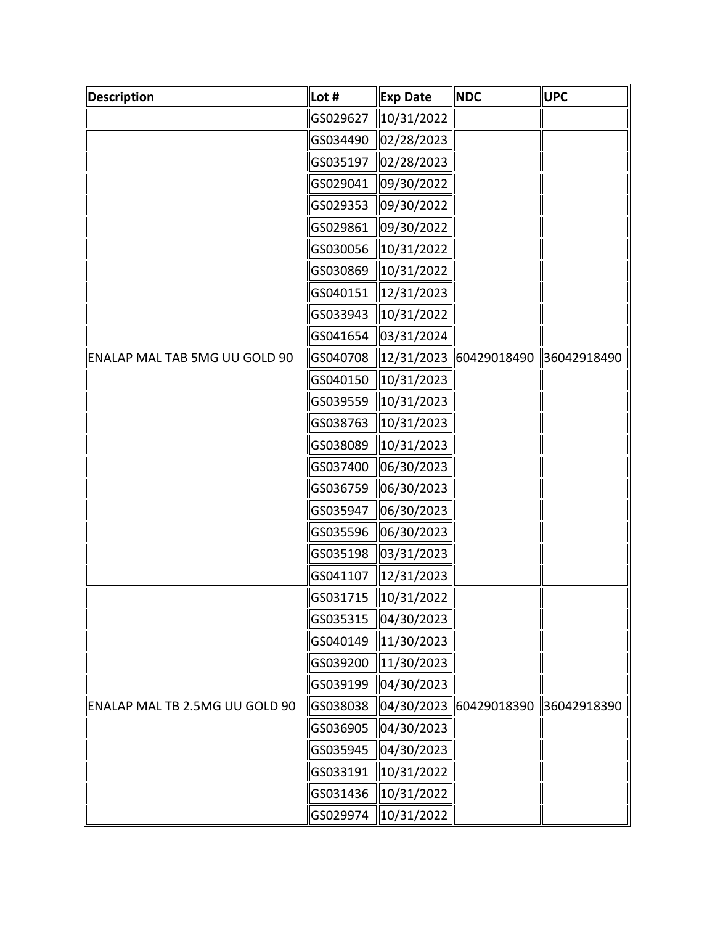| <b>Description</b>             | Lot #    | <b>Exp Date</b>                     | <b>NDC</b>               | <b>UPC</b>  |
|--------------------------------|----------|-------------------------------------|--------------------------|-------------|
|                                | GS029627 | 10/31/2022                          |                          |             |
| ENALAP MAL TAB 5MG UU GOLD 90  | GS034490 | 02/28/2023                          |                          | 36042918490 |
|                                | GS035197 | 02/28/2023                          |                          |             |
|                                | GS029041 | 09/30/2022                          |                          |             |
|                                | GS029353 | 09/30/2022                          |                          |             |
|                                | GS029861 | 09/30/2022                          |                          |             |
|                                | GS030056 | 10/31/2022                          |                          |             |
|                                | GS030869 | 10/31/2022                          |                          |             |
|                                | GS040151 | 12/31/2023                          |                          |             |
|                                | GS033943 | 10/31/2022                          |                          |             |
|                                | GS041654 | 03/31/2024                          |                          |             |
|                                | GS040708 |                                     | 12/31/2023   60429018490 |             |
|                                | GS040150 | 10/31/2023                          |                          |             |
|                                | GS039559 | 10/31/2023                          |                          |             |
|                                | GS038763 | 10/31/2023                          |                          |             |
|                                | GS038089 | 10/31/2023                          |                          |             |
|                                | GS037400 | 06/30/2023                          |                          |             |
|                                | GS036759 | 06/30/2023                          |                          |             |
|                                | GS035947 | 06/30/2023                          |                          |             |
|                                | GS035596 | 06/30/2023                          |                          |             |
|                                | GS035198 | 03/31/2023                          |                          |             |
|                                | GS041107 | 12/31/2023                          |                          |             |
| ENALAP MAL TB 2.5MG UU GOLD 90 | GS031715 | 10/31/2022                          | 04/30/2023 60429018390   | 36042918390 |
|                                | GS035315 | 04/30/2023                          |                          |             |
|                                | GS040149 | 11/30/2023                          |                          |             |
|                                | GS039200 | 11/30/2023                          |                          |             |
|                                | GS039199 | 04/30/2023                          |                          |             |
|                                | GS038038 |                                     |                          |             |
|                                | GS036905 | 04/30/2023                          |                          |             |
|                                | GS035945 | 04/30/2023                          |                          |             |
|                                | GS033191 | 10/31/2022                          |                          |             |
|                                | GS031436 | 10/31/2022                          |                          |             |
|                                | GS029974 | $\left  \frac{10}{31/2022} \right $ |                          |             |